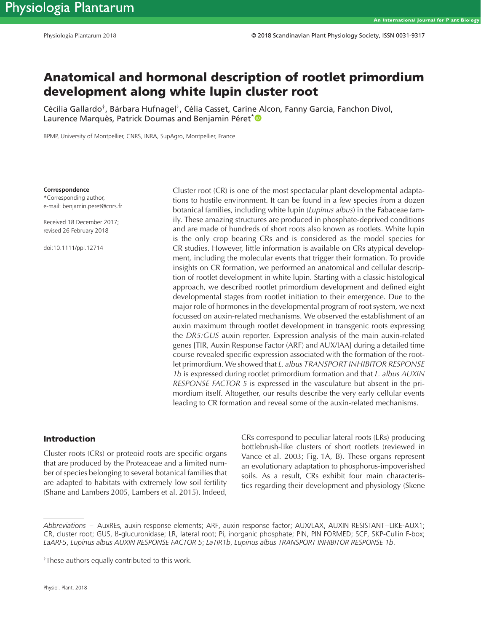# **Anatomical and hormonal description of rootlet primordium development along white lupin cluster root**

Cécilia Gallardo**†**, Bárbara Hufnagel**†**, Célia Casset, Carine Alcon, Fanny Garcia, Fanchon Divol, Laurence Marquès, Patrick Doumas and Benjamin Péret<sup>[\\*](http://orcid.org/0000-0003-1336-0796)</sup><sup>®</sup>

BPMP, University of Montpellier, CNRS, INRA, SupAgro, Montpellier, France

**Correspondence**

\*Corresponding author, e-mail: benjamin.peret@cnrs.fr

Received 18 December 2017; revised 26 February 2018

doi:10.1111/ppl.12714

Cluster root (CR) is one of the most spectacular plant developmental adaptations to hostile environment. It can be found in a few species from a dozen botanical families, including white lupin (*Lupinus albus*) in the Fabaceae family. These amazing structures are produced in phosphate-deprived conditions and are made of hundreds of short roots also known as rootlets. White lupin is the only crop bearing CRs and is considered as the model species for CR studies. However, little information is available on CRs atypical development, including the molecular events that trigger their formation. To provide insights on CR formation, we performed an anatomical and cellular description of rootlet development in white lupin. Starting with a classic histological approach, we described rootlet primordium development and defined eight developmental stages from rootlet initiation to their emergence. Due to the major role of hormones in the developmental program of root system, we next focussed on auxin-related mechanisms. We observed the establishment of an auxin maximum through rootlet development in transgenic roots expressing the *DR5:GUS* auxin reporter. Expression analysis of the main auxin-related genes [TIR, Auxin Response Factor (ARF) and AUX/IAA] during a detailed time course revealed specific expression associated with the formation of the rootlet primordium. We showed that *L. albus TRANSPORT INHIBITOR RESPONSE 1b* is expressed during rootlet primordium formation and that *L. albus AUXIN RESPONSE FACTOR 5* is expressed in the vasculature but absent in the primordium itself. Altogether, our results describe the very early cellular events leading to CR formation and reveal some of the auxin-related mechanisms.

#### **Introduction**

Cluster roots (CRs) or proteoid roots are specific organs that are produced by the Proteaceae and a limited number of species belonging to several botanical families that are adapted to habitats with extremely low soil fertility (Shane and Lambers 2005, Lambers et al. 2015). Indeed, CRs correspond to peculiar lateral roots (LRs) producing bottlebrush-like clusters of short rootlets (reviewed in Vance et al. 2003; Fig. 1A, B). These organs represent an evolutionary adaptation to phosphorus-impoverished soils. As a result, CRs exhibit four main characteristics regarding their development and physiology (Skene

*Abbreviations* – AuxREs, auxin response elements; ARF, auxin response factor; AUX/LAX, AUXIN RESISTANT–LIKE-AUX1; CR, cluster root; GUS, ß-glucuronidase; LR, lateral root; Pi, inorganic phosphate; PIN, PIN FORMED; SCF, SKP-Cullin F-box; *LaARF5*, *Lupinus albus AUXIN RESPONSE FACTOR 5*; *LaTIR1b*, *Lupinus albus TRANSPORT INHIBITOR RESPONSE 1b*.

<sup>†</sup>These authors equally contributed to this work.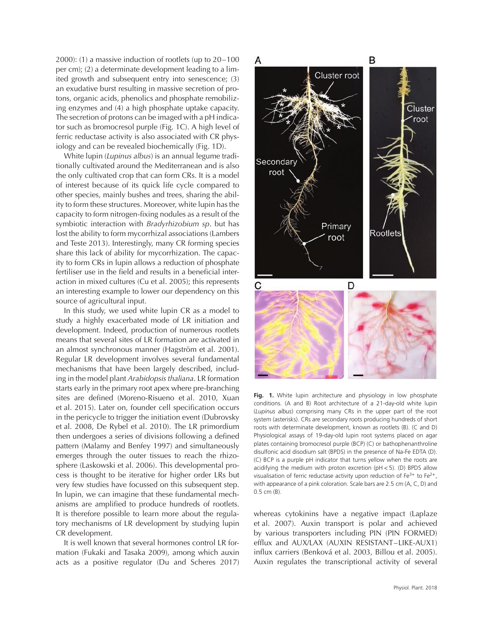2000): (1) a massive induction of rootlets (up to 20–100 per cm); (2) a determinate development leading to a limited growth and subsequent entry into senescence; (3) an exudative burst resulting in massive secretion of protons, organic acids, phenolics and phosphate remobilizing enzymes and (4) a high phosphate uptake capacity. The secretion of protons can be imaged with a pH indicator such as bromocresol purple (Fig. 1C). A high level of ferric reductase activity is also associated with CR physiology and can be revealed biochemically (Fig. 1D).

White lupin (*Lupinus albus*) is an annual legume traditionally cultivated around the Mediterranean and is also the only cultivated crop that can form CRs. It is a model of interest because of its quick life cycle compared to other species, mainly bushes and trees, sharing the ability to form these structures. Moreover, white lupin has the capacity to form nitrogen-fixing nodules as a result of the symbiotic interaction with *Bradyrhizobium sp*. but has lost the ability to form mycorrhizal associations (Lambers and Teste 2013). Interestingly, many CR forming species share this lack of ability for mycorrhization. The capacity to form CRs in lupin allows a reduction of phosphate fertiliser use in the field and results in a beneficial interaction in mixed cultures (Cu et al. 2005); this represents an interesting example to lower our dependency on this source of agricultural input.

In this study, we used white lupin CR as a model to study a highly exacerbated mode of LR initiation and development. Indeed, production of numerous rootlets means that several sites of LR formation are activated in an almost synchronous manner (Hagström et al. 2001). Regular LR development involves several fundamental mechanisms that have been largely described, including in the model plant *Arabidopsis thaliana*. LR formation starts early in the primary root apex where pre-branching sites are defined (Moreno-Risueno et al. 2010, Xuan et al. 2015). Later on, founder cell specification occurs in the pericycle to trigger the initiation event (Dubrovsky et al. 2008, De Rybel et al. 2010). The LR primordium then undergoes a series of divisions following a defined pattern (Malamy and Benfey 1997) and simultaneously emerges through the outer tissues to reach the rhizosphere (Laskowski et al. 2006). This developmental process is thought to be iterative for higher order LRs but very few studies have focussed on this subsequent step. In lupin, we can imagine that these fundamental mechanisms are amplified to produce hundreds of rootlets. It is therefore possible to learn more about the regulatory mechanisms of LR development by studying lupin CR development.

It is well known that several hormones control LR formation (Fukaki and Tasaka 2009), among which auxin acts as a positive regulator (Du and Scheres 2017)



Fig. 1. White lupin architecture and physiology in low phosphate conditions. (A and B) Root architecture of a 21-day-old white lupin (*Lupinus albus*) comprising many CRs in the upper part of the root system (asterisks). CRs are secondary roots producing hundreds of short roots with determinate development, known as rootlets (B). (C and D) Physiological assays of 19-day-old lupin root systems placed on agar plates containing bromocresol purple (BCP) (C) or bathophenanthroline disulfonic acid disodium salt (BPDS) in the presence of Na-Fe EDTA (D). (C) BCP is a purple pH indicator that turns yellow when the roots are acidifying the medium with proton excretion (pH*<*5). (D) BPDS allow visualisation of ferric reductase activity upon reduction of Fe<sup>3+</sup> to Fe<sup>2+</sup>, with appearance of a pink coloration. Scale bars are 2.5 cm (A, C, D) and 0.5 cm (B).

whereas cytokinins have a negative impact (Laplaze et al. 2007). Auxin transport is polar and achieved by various transporters including PIN (PIN FORMED) efflux and AUX/LAX (AUXIN RESISTANT–LIKE-AUX1) influx carriers (Benková et al. 2003, Billou et al. 2005). Auxin regulates the transcriptional activity of several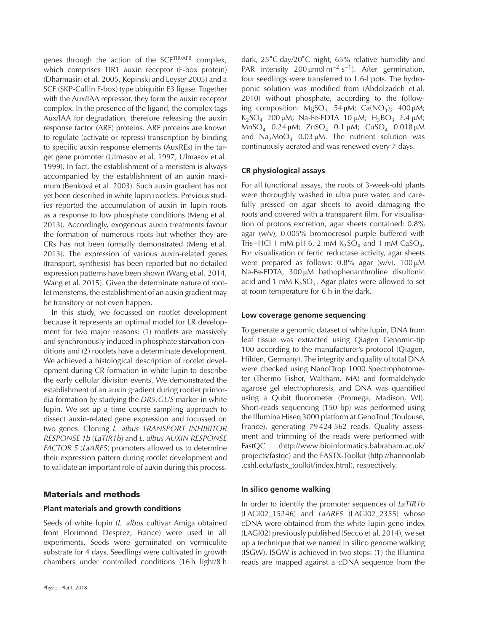genes through the action of the SCFTIR/AFB complex, which comprises TIR1 auxin receptor (F-box protein) (Dharmasiri et al. 2005, Kepinski and Leyser 2005) and a SCF (SKP-Cullin F-box) type ubiquitin E3 ligase. Together with the Aux/IAA repressor, they form the auxin receptor complex. In the presence of the ligand, the complex tags Aux/IAA for degradation, therefore releasing the auxin response factor (ARF) proteins. ARF proteins are known to regulate (activate or repress) transcription by binding to specific auxin response elements (AuxREs) in the target gene promoter (Ulmasov et al. 1997, Ulmasov et al. 1999). In fact, the establishment of a meristem is always accompanied by the establishment of an auxin maximum (Benková et al. 2003). Such auxin gradient has not yet been described in white lupin rootlets. Previous studies reported the accumulation of auxin in lupin roots as a response to low phosphate conditions (Meng et al. 2013). Accordingly, exogenous auxin treatments favour the formation of numerous roots but whether they are CRs has not been formally demonstrated (Meng et al. 2013). The expression of various auxin-related genes (transport, synthesis) has been reported but no detailed expression patterns have been shown (Wang et al. 2014, Wang et al. 2015). Given the determinate nature of rootlet meristems, the establishment of an auxin gradient may be transitory or not even happen.

In this study, we focussed on rootlet development because it represents an optimal model for LR development for two major reasons: (1) rootlets are massively and synchronously induced in phosphate starvation conditions and (2) rootlets have a determinate development. We achieved a histological description of rootlet development during CR formation in white lupin to describe the early cellular division events. We demonstrated the establishment of an auxin gradient during rootlet primordia formation by studying the *DR5:GUS* marker in white lupin. We set up a time course sampling approach to dissect auxin-related gene expression and focussed on two genes. Cloning *L. albus TRANSPORT INHIBITOR RESPONSE 1b* (*LaTIR1b*) and *L. albus AUXIN RESPONSE FACTOR 5* (*LaARF5*) promoters allowed us to determine their expression pattern during rootlet development and to validate an important role of auxin during this process.

### **Materials and methods**

#### **Plant materials and growth conditions**

Seeds of white lupin (*L. albus* cultivar Amiga obtained from Florimond Desprez, France) were used in all experiments. Seeds were germinated on vermiculite substrate for 4 days. Seedlings were cultivated in growth chambers under controlled conditions (16 h light/8 h

dark, 25∘C day/20∘C night, 65% relative humidity and PAR intensity 200  $\mu$ mol m<sup>-2</sup> s<sup>-1</sup>). After germination, four seedlings were transferred to 1.6-l pots. The hydroponic solution was modified from (Abdolzadeh et al. 2010) without phosphate, according to the following composition:  $MgSO_4$  54 μM;  $Ca(NO_3)$ , 400 μM;  $K_2SO_4$  200 μM; Na-Fe-EDTA 10 μM;  $H_3BO_3$  2.4 μM;  $MnSO_4$  0.24 μM;  $ZnSO_4$  0.1 μM;  $CuSO_4$  0.018 μM and  $\text{Na}_2\text{MoO}_4$  0.03  $\mu$ M. The nutrient solution was continuously aerated and was renewed every 7 days.

#### **CR physiological assays**

For all functional assays, the roots of 3-week-old plants were thoroughly washed in ultra pure water, and carefully pressed on agar sheets to avoid damaging the roots and covered with a transparent film. For visualisation of protons excretion, agar sheets contained: 0.8% agar (w/v), 0.005% bromocresol purple buffered with Tris–HCl 1 mM pH 6, 2 mM  $K_2SO_4$  and 1 mM CaSO<sub>4</sub>. For visualisation of ferric reductase activity, agar sheets were prepared as follows: 0.8% agar (w/v), 100 μM Na-Fe-EDTA, 300 μM bathophenanthroline disulfonic acid and 1 mM  $K<sub>2</sub>SO<sub>4</sub>$ . Agar plates were allowed to set at room temperature for 6 h in the dark.

#### **Low coverage genome sequencing**

To generate a genomic dataset of white lupin, DNA from leaf tissue was extracted using Qiagen Genomic-tip 100 according to the manufacturer's protocol (Qiagen, Hilden, Germany). The integrity and quality of total DNA were checked using NanoDrop 1000 Spectrophotometer (Thermo Fisher, Waltham, MA) and formaldehyde agarose gel electrophoresis, and DNA was quantified using a Qubit fluorometer (Promega, Madison, WI). Short-reads sequencing (150 bp) was performed using the Illumina Hiseq 3000 platform at GenoToul (Toulouse, France), generating 79 424 562 reads. Quality assessment and trimming of the reads were performed with FastQC [\(http://www.bioinformatics.babraham.ac.uk/](http://www.bioinformatics.babraham.ac.uk/projects/fastqc) [projects/fastqc\)](http://www.bioinformatics.babraham.ac.uk/projects/fastqc) and the FASTX-Toolkit [\(http://hannonlab](http://hannonlab.cshl.edu/fastx_toolkit/index.html) [.cshl.edu/fastx\\_toolkit/index.html\)](http://hannonlab.cshl.edu/fastx_toolkit/index.html), respectively.

#### **In silico genome walking**

In order to identify the promoter sequences of *LaTIR1b* (LAGI02\_15246) and *LaARF5* (LAGI02\_2355) whose cDNA were obtained from the white lupin gene index (LAGI02) previously published (Secco et al. 2014), we set up a technique that we named in silico genome walking (ISGW). ISGW is achieved in two steps: (1) the Illumina reads are mapped against a cDNA sequence from the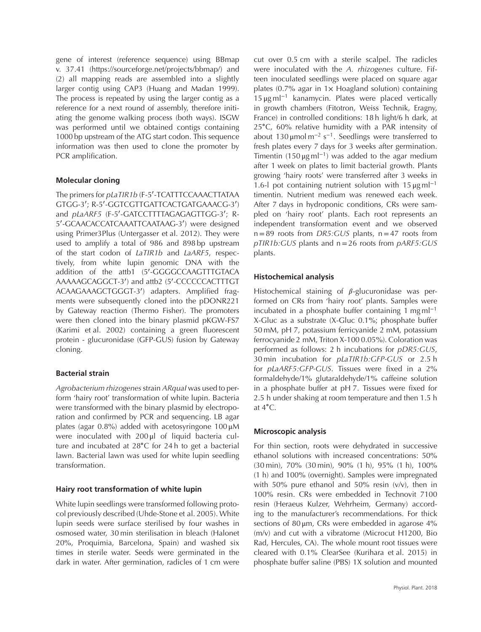gene of interest (reference sequence) using BBmap v. 37.41 [\(https://sourceforge.net/projects/bbmap/\)](https://sourceforge.net/projects/bbmap) and (2) all mapping reads are assembled into a slightly larger contig using CAP3 (Huang and Madan 1999). The process is repeated by using the larger contig as a reference for a next round of assembly, therefore initiating the genome walking process (both ways). ISGW was performed until we obtained contigs containing 1000 bp upstream of the ATG start codon. This sequence information was then used to clone the promoter by PCR amplification.

## **Molecular cloning**

The primers for *pLaTIR1b* (F-5'-TCATTTCCAAACTTATAA GTGG-3′ ; R-5′ -GGTCGTTGATTCACTGATGAAACG-3′ ) and *pLaARF5* (F-5′ -GATCCTTTTAGAGAGTTGG-3′ ; R-5′ -GCAACACCATCAAATTCAATAAG-3′ ) were designed using Primer3Plus (Untergasser et al. 2012). They were used to amplify a total of 986 and 898 bp upstream of the start codon of *LaTIR1b* and *LaARF5*, respectively, from white lupin genomic DNA with the addition of the attb1 (5′ -GGGGCCAAGTTTGTACA AAAAAGCAGGCT-3′ ) and attb2 (5′ -CCCCCCACTTTGT ACAAGAAAGCTGGGT-3′ ) adapters. Amplified fragments were subsequently cloned into the pDONR221 by Gateway reaction (Thermo Fisher). The promoters were then cloned into the binary plasmid pKGW-FS7 (Karimi et al. 2002) containing a green fluorescent protein - glucuronidase (GFP-GUS) fusion by Gateway cloning.

# **Bacterial strain**

*Agrobacterium rhizogenes*strain *ARquaI* was used to perform 'hairy root' transformation of white lupin. Bacteria were transformed with the binary plasmid by electroporation and confirmed by PCR and sequencing. LB agar plates (agar 0.8%) added with acetosyringone 100 μM were inoculated with 200 μl of liquid bacteria culture and incubated at 28∘C for 24 h to get a bacterial lawn. Bacterial lawn was used for white lupin seedling transformation.

# **Hairy root transformation of white lupin**

White lupin seedlings were transformed following protocol previously described (Uhde-Stone et al. 2005). White lupin seeds were surface sterilised by four washes in osmosed water, 30 min sterilisation in bleach (Halonet 20%, Proquimia, Barcelona, Spain) and washed six times in sterile water. Seeds were germinated in the dark in water. After germination, radicles of 1 cm were

cut over 0.5 cm with a sterile scalpel. The radicles were inoculated with the *A. rhizogenes* culture. Fifteen inoculated seedlings were placed on square agar plates  $(0.7\%$  agar in  $1\times$  Hoagland solution) containing 15 μg ml<sup>−</sup><sup>1</sup> kanamycin. Plates were placed vertically in growth chambers (Fitotron, Weiss Technik, Eragny, France) in controlled conditions: 18 h light/6 h dark, at 25∘C, 60% relative humidity with a PAR intensity of about 130 µmol m<sup>-2</sup> s<sup>-1</sup>. Seedlings were transferred to fresh plates every 7 days for 3 weeks after germination. Timentin (150  $\mu$ g ml<sup>-1</sup>) was added to the agar medium after 1 week on plates to limit bacterial growth. Plants growing 'hairy roots' were transferred after 3 weeks in 1.6-l pot containing nutrient solution with 15  $\mu$ g ml<sup>-1</sup> timentin. Nutrient medium was renewed each week. After 7 days in hydroponic conditions, CRs were sampled on 'hairy root' plants. Each root represents an independent transformation event and we observed n=89 roots from *DR5:GUS* plants, n=47 roots from *pTIR1b:GUS* plants and n=26 roots from *pARF5:GUS* plants.

# **Histochemical analysis**

Histochemical staining of  $\beta$ -glucuronidase was performed on CRs from 'hairy root' plants. Samples were incubated in a phosphate buffer containing 1 mg m $l^{-1}$ X-Gluc as a substrate (X-Gluc 0.1%; phosphate buffer 50 mM, pH 7, potassium ferricyanide 2 mM, potassium ferrocyanide 2 mM, Triton X-100 0.05%). Coloration was performed as follows: 2 h incubations for *pDR5:GUS*, 30 min incubation for *pLaTIR1b:GFP-GUS* or 2.5 h for *pLaARF5:GFP-GUS*. Tissues were fixed in a 2% formaldehyde/1% glutaraldehyde/1% caffeine solution in a phosphate buffer at pH 7. Tissues were fixed for 2.5 h under shaking at room temperature and then 1.5 h at 4∘C.

## **Microscopic analysis**

For thin section, roots were dehydrated in successive ethanol solutions with increased concentrations: 50% (30 min), 70% (30 min), 90% (1 h), 95% (1 h), 100% (1 h) and 100% (overnight). Samples were impregnated with 50% pure ethanol and 50% resin (v/v), then in 100% resin. CRs were embedded in Technovit 7100 resin (Heraeus Kulzer, Wehrheim, Germany) according to the manufacturer's recommendations. For thick sections of 80 μm, CRs were embedded in agarose 4% (m/v) and cut with a vibratome (Microcut H1200, Bio Rad, Hercules, CA). The whole mount root tissues were cleared with 0.1% ClearSee (Kurihara et al. 2015) in phosphate buffer saline (PBS) 1X solution and mounted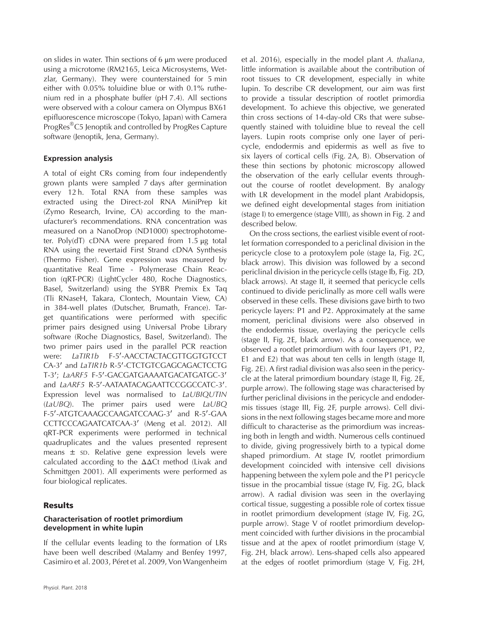on slides in water. Thin sections of 6 μm were produced using a microtome (RM2165, Leica Microsystems, Wetzlar, Germany). They were counterstained for 5 min either with 0.05% toluidine blue or with 0.1% ruthenium red in a phosphate buffer (pH 7.4). All sections were observed with a colour camera on Olympus BX61 epifluorescence microscope (Tokyo, Japan) with Camera ProgRes®C5 Jenoptik and controlled by ProgRes Capture software (Jenoptik, Jena, Germany).

## **Expression analysis**

A total of eight CRs coming from four independently grown plants were sampled 7 days after germination every 12 h. Total RNA from these samples was extracted using the Direct-zol RNA MiniPrep kit (Zymo Research, Irvine, CA) according to the manufacturer's recommendations. RNA concentration was measured on a NanoDrop (ND1000) spectrophotometer. Poly(dT) cDNA were prepared from 1.5 μg total RNA using the revertaid First Strand cDNA Synthesis (Thermo Fisher). Gene expression was measured by quantitative Real Time - Polymerase Chain Reaction (qRT-PCR) (LightCycler 480, Roche Diagnostics, Basel, Switzerland) using the SYBR Premix Ex Taq (Tli RNaseH, Takara, Clontech, Mountain View, CA) in 384-well plates (Dutscher, Brumath, France). Target quantifications were performed with specific primer pairs designed using Universal Probe Library software (Roche Diagnostics, Basel, Switzerland). The two primer pairs used in the parallel PCR reaction were: LaTIR1b F-5'-AACCTACTACGTTGGTGTCCT CA-3′ and *LaTIR1b* R-5′ -CTCTGTCGAGCAGACTCCTG T-3′ ; *LaARF5* F-5′ -GACGATGAAAATGACATGATGC-3′ and *LaARF5* R-5'-AATAATACAGAATTCCGGCCATC-3'. Expression level was normalised to *LaUBIQUTIN* (*LaUBQ*). The primer pairs used were *LaUBQ* F-5′ -ATGTCAAAGCCAAGATCCAAG-3′ and R-5′ -GAA CCTTCCCAGAATCATCAA-3′ (Meng et al. 2012). All qRT-PCR experiments were performed in technical quadruplicates and the values presented represent means ± SD. Relative gene expression levels were calculated according to the ΔΔCt method (Livak and Schmittgen 2001). All experiments were performed as four biological replicates.

# **Results**

## **Characterisation of rootlet primordium development in white lupin**

If the cellular events leading to the formation of LRs have been well described (Malamy and Benfey 1997, Casimiro et al. 2003, Péret et al. 2009, Von Wangenheim

et al. 2016), especially in the model plant *A. thaliana*, little information is available about the contribution of root tissues to CR development, especially in white lupin. To describe CR development, our aim was first to provide a tissular description of rootlet primordia development. To achieve this objective, we generated thin cross sections of 14-day-old CRs that were subsequently stained with toluidine blue to reveal the cell layers. Lupin roots comprise only one layer of pericycle, endodermis and epidermis as well as five to six layers of cortical cells (Fig. 2A, B). Observation of these thin sections by photonic microscopy allowed the observation of the early cellular events throughout the course of rootlet development. By analogy with LR development in the model plant Arabidopsis, we defined eight developmental stages from initiation (stage I) to emergence (stage VIII), as shown in Fig. 2 and described below.

On the cross sections, the earliest visible event of rootlet formation corresponded to a periclinal division in the pericycle close to a protoxylem pole (stage Ia, Fig. 2C, black arrow). This division was followed by a second periclinal division in the pericycle cells (stage Ib, Fig. 2D, black arrows). At stage II, it seemed that pericycle cells continued to divide periclinally as more cell walls were observed in these cells. These divisions gave birth to two pericycle layers: P1 and P2. Approximately at the same moment, periclinal divisions were also observed in the endodermis tissue, overlaying the pericycle cells (stage II, Fig. 2E, black arrow). As a consequence, we observed a rootlet primordium with four layers (P1, P2, E1 and E2) that was about ten cells in length (stage II, Fig. 2E). A first radial division was also seen in the pericycle at the lateral primordium boundary (stage II, Fig. 2E, purple arrow). The following stage was characterised by further periclinal divisions in the pericycle and endodermis tissues (stage III, Fig. 2F, purple arrows). Cell divisions in the next following stages became more and more difficult to characterise as the primordium was increasing both in length and width. Numerous cells continued to divide, giving progressively birth to a typical dome shaped primordium. At stage IV, rootlet primordium development coincided with intensive cell divisions happening between the xylem pole and the P1 pericycle tissue in the procambial tissue (stage IV, Fig. 2G, black arrow). A radial division was seen in the overlaying cortical tissue, suggesting a possible role of cortex tissue in rootlet primordium development (stage IV, Fig. 2G, purple arrow). Stage V of rootlet primordium development coincided with further divisions in the procambial tissue and at the apex of rootlet primordium (stage V, Fig. 2H, black arrow). Lens-shaped cells also appeared at the edges of rootlet primordium (stage V, Fig. 2H,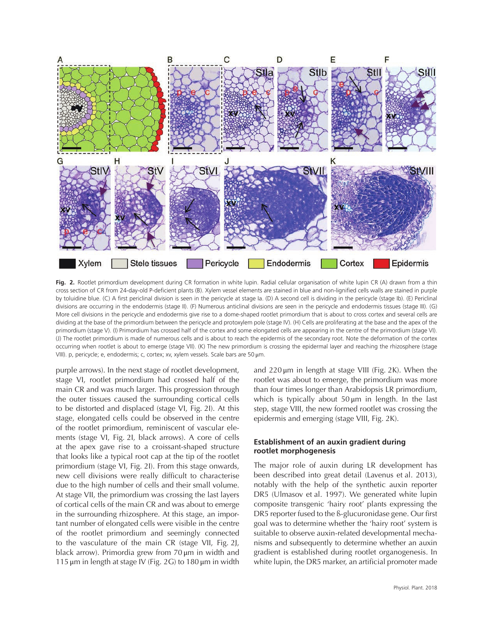

**Fig. 2.** Rootlet primordium development during CR formation in white lupin. Radial cellular organisation of white lupin CR (A) drawn from a thin cross section of CR from 24-day-old P-deficient plants (B). Xylem vessel elements are stained in blue and non-lignified cells walls are stained in purple by toluidine blue. (C) A first periclinal division is seen in the pericycle at stage Ia. (D) A second cell is dividing in the pericycle (stage Ib). (E) Periclinal divisions are occurring in the endodermis (stage II). (F) Numerous anticlinal divisions are seen in the pericycle and endodermis tissues (stage III). (G) More cell divisions in the pericycle and endodermis give rise to a dome-shaped rootlet primordium that is about to cross cortex and several cells are dividing at the base of the primordium between the pericycle and protoxylem pole (stage IV). (H) Cells are proliferating at the base and the apex of the primordium (stage V). (I) Primordium has crossed half of the cortex and some elongated cells are appearing in the centre of the primordium (stage VI). (J) The rootlet primordium is made of numerous cells and is about to reach the epidermis of the secondary root. Note the deformation of the cortex occurring when rootlet is about to emerge (stage VII). (K) The new primordium is crossing the epidermal layer and reaching the rhizosphere (stage VIII). p, pericycle; e, endodermis; c, cortex; xv, xylem vessels. Scale bars are 50 μm.

purple arrows). In the next stage of rootlet development, stage VI, rootlet primordium had crossed half of the main CR and was much larger. This progression through the outer tissues caused the surrounding cortical cells to be distorted and displaced (stage VI, Fig. 2I). At this stage, elongated cells could be observed in the centre of the rootlet primordium, reminiscent of vascular elements (stage VI, Fig. 2I, black arrows). A core of cells at the apex gave rise to a croissant-shaped structure that looks like a typical root cap at the tip of the rootlet primordium (stage VI, Fig. 2I). From this stage onwards, new cell divisions were really difficult to characterise due to the high number of cells and their small volume. At stage VII, the primordium was crossing the last layers of cortical cells of the main CR and was about to emerge in the surrounding rhizosphere. At this stage, an important number of elongated cells were visible in the centre of the rootlet primordium and seemingly connected to the vasculature of the main CR (stage VII, Fig. 2J, black arrow). Primordia grew from 70 μm in width and 115  $\mu$ m in length at stage IV (Fig. 2G) to 180  $\mu$ m in width

and 220 μm in length at stage VIII (Fig. 2K). When the rootlet was about to emerge, the primordium was more than four times longer than Arabidopsis LR primordium, which is typically about  $50 \mu m$  in length. In the last step, stage VIII, the new formed rootlet was crossing the epidermis and emerging (stage VIII, Fig. 2K).

## **Establishment of an auxin gradient during rootlet morphogenesis**

The major role of auxin during LR development has been described into great detail (Lavenus et al. 2013), notably with the help of the synthetic auxin reporter DR5 (Ulmasov et al. 1997). We generated white lupin composite transgenic 'hairy root' plants expressing the DR5 reporter fused to the ß-glucuronidase gene. Our first goal was to determine whether the 'hairy root' system is suitable to observe auxin-related developmental mechanisms and subsequently to determine whether an auxin gradient is established during rootlet organogenesis. In white lupin, the DR5 marker, an artificial promoter made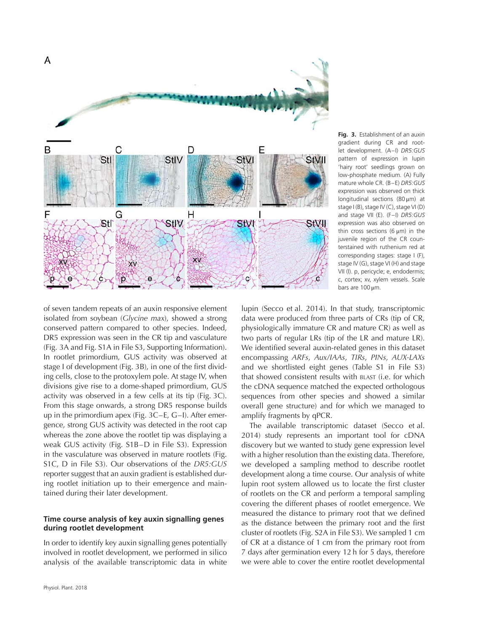

**Fig. 3.** Establishment of an auxin gradient during CR and rootlet development. (A–I) *DR5:GUS* pattern of expression in lupin 'hairy root' seedlings grown on low-phosphate medium. (A) Fully mature whole CR. (B–E) *DR5:GUS* expression was observed on thick longitudinal sections (80 μm) at stage I (B), stage IV (C), stage VI (D) and stage VII (E). (F–I) *DR5:GUS* expression was also observed on thin cross sections (6  $\mu$ m) in the juvenile region of the CR counterstained with ruthenium red at corresponding stages: stage I (F), stage IV (G), stage VI (H) and stage VII (I). p, pericycle; e, endodermis; c, cortex; xv, xylem vessels. Scale bars are 100 μm.

of seven tandem repeats of an auxin responsive element isolated from soybean (*Glycine max*), showed a strong conserved pattern compared to other species. Indeed, DR5 expression was seen in the CR tip and vasculature (Fig. 3A and Fig. S1A in File S3, Supporting Information). In rootlet primordium, GUS activity was observed at stage I of development (Fig. 3B), in one of the first dividing cells, close to the protoxylem pole. At stage IV, when divisions give rise to a dome-shaped primordium, GUS activity was observed in a few cells at its tip (Fig. 3C). From this stage onwards, a strong DR5 response builds up in the primordium apex (Fig. 3C–E, G–I). After emergence, strong GUS activity was detected in the root cap whereas the zone above the rootlet tip was displaying a weak GUS activity (Fig. S1B–D in File S3). Expression in the vasculature was observed in mature rootlets (Fig. S1C, D in File S3). Our observations of the *DR5:GUS* reporter suggest that an auxin gradient is established during rootlet initiation up to their emergence and maintained during their later development.

## **Time course analysis of key auxin signalling genes during rootlet development**

In order to identify key auxin signalling genes potentially involved in rootlet development, we performed in silico analysis of the available transcriptomic data in white

lupin (Secco et al. 2014). In that study, transcriptomic data were produced from three parts of CRs (tip of CR, physiologically immature CR and mature CR) as well as two parts of regular LRs (tip of the LR and mature LR). We identified several auxin-related genes in this dataset encompassing *ARFs*, *Aux/IAAs*, *TIRs*, *PINs*, *AUX-LAXs* and we shortlisted eight genes (Table S1 in File S3) that showed consistent results with BLAST (i.e. for which the cDNA sequence matched the expected orthologous sequences from other species and showed a similar overall gene structure) and for which we managed to amplify fragments by qPCR.

The available transcriptomic dataset (Secco et al. 2014) study represents an important tool for cDNA discovery but we wanted to study gene expression level with a higher resolution than the existing data. Therefore, we developed a sampling method to describe rootlet development along a time course. Our analysis of white lupin root system allowed us to locate the first cluster of rootlets on the CR and perform a temporal sampling covering the different phases of rootlet emergence. We measured the distance to primary root that we defined as the distance between the primary root and the first cluster of rootlets (Fig. S2A in File S3). We sampled 1 cm of CR at a distance of 1 cm from the primary root from 7 days after germination every 12 h for 5 days, therefore we were able to cover the entire rootlet developmental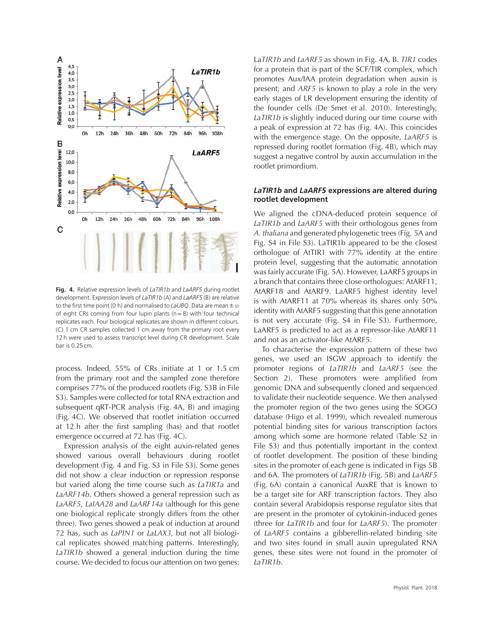

**Fig. 4.** Relative expression levels of *LaTIR1b* and *LaARF5* during rootlet development. Expression levels of *LaTIR1b* (A) and *LaARF5* (B) are relative to the first time point (0 h) and normalised to *LaUBQ*. Data are mean  $\pm$  sp of eight CRs coming from four lupin plants ( $n=8$ ) with four technical replicates each. Four biological replicates are shown in different colours. (C) 1 cm CR samples collected 1 cm away from the primary root every 12 h were used to assess transcript level during CR development. Scale bar is 0.25 cm.

process. Indeed, 55% of CRs initiate at 1 or 1.5 cm from the primary root and the sampled zone therefore comprises 77% of the produced rootlets (Fig. S3B in File S3). Samples were collected for total RNA extraction and subsequent qRT-PCR analysis (Fig. 4A, B) and imaging (Fig. 4C). We observed that rootlet initiation occurred at 12 h after the first sampling (has) and that rootlet emergence occurred at 72 has (Fig. 4C).

Expression analysis of the eight auxin-related genes showed various overall behaviours during rootlet development (Fig. 4 and Fig. S3 in File S3). Some genes did not show a clear induction or repression response but varied along the time course such as *LaTIR1a* and *LaARF14b*. Others showed a general repression such as *LaARF5*, *LaIAA28* and *LaARF14a* (although for this gene one biological replicate strongly differs from the other three). Two genes showed a peak of induction at around 72 has, such as *LaPIN1* or *LaLAX3,* but not all biological replicates showed matching patterns. Interestingly, *LaTIR1b* showed a general induction during the time course. We decided to focus our attention on two genes:

La*TIR1b* and *LaARF5* as shown in Fig. 4A, B. *TIR1* codes for a protein that is part of the SCF/TIR complex, which promotes Aux/IAA protein degradation when auxin is present; and *ARF5* is known to play a role in the very early stages of LR development ensuring the identity of the founder cells (De Smet et al. 2010). Interestingly, *LaTIR1b* is slightly induced during our time course with a peak of expression at 72 has (Fig. 4A). This coincides with the emergence stage. On the opposite, *LaARF5* is repressed during rootlet formation (Fig. 4B), which may suggest a negative control by auxin accumulation in the rootlet primordium.

#### *LaTIR1b* **and** *LaARF5* **expressions are altered during rootlet development**

We aligned the cDNA-deduced protein sequence of *LaTIR1b* and *LaARF5* with their orthologous genes from *A. thaliana* and generated phylogenetic trees (Fig. 5A and Fig. S4 in File S3). LaTIR1b appeared to be the closest orthologue of AtTIR1 with 77% identity at the entire protein level, suggesting that the automatic annotation was fairly accurate (Fig. 5A). However, LaARF5 groups in a branch that contains three close orthologues: AtARF11, AtARF18 and AtARF9. LaARF5 highest identity level is with AtARF11 at 70% whereas its shares only 50% identity with AtARF5 suggesting that this gene annotation is not very accurate (Fig. S4 in File S3). Furthermore, LaARF5 is predicted to act as a repressor-like AtARF11 and not as an activator-like AtARF5.

To characterise the expression pattern of these two genes, we used an ISGW approach to identify the promoter regions of *LaTIR1b* and *LaARF5* (see the Section 2). These promoters were amplified from genomic DNA and subsequently cloned and sequenced to validate their nucleotide sequence. We then analysed the promoter region of the two genes using the SOGO database (Higo et al. 1999), which revealed numerous potential binding sites for various transcription factors among which some are hormone related (Table S2 in File S3) and thus potentially important in the context of rootlet development. The position of these binding sites in the promoter of each gene is indicated in Figs 5B and 6A. The promoters of *LaTIR1b* (Fig. 5B) and *LaARF5* (Fig. 6A) contain a canonical AuxRE that is known to be a target site for ARF transcription factors. They also contain several Arabidopsis response regulator sites that are present in the promoter of cytokinin-induced genes (three for *LaTIR1b* and four for *LaARF5*). The promoter of *LaARF5* contains a gibberellin-related binding site and two sites found in small auxin upregulated RNA genes, these sites were not found in the promoter of *LaTIR1b*.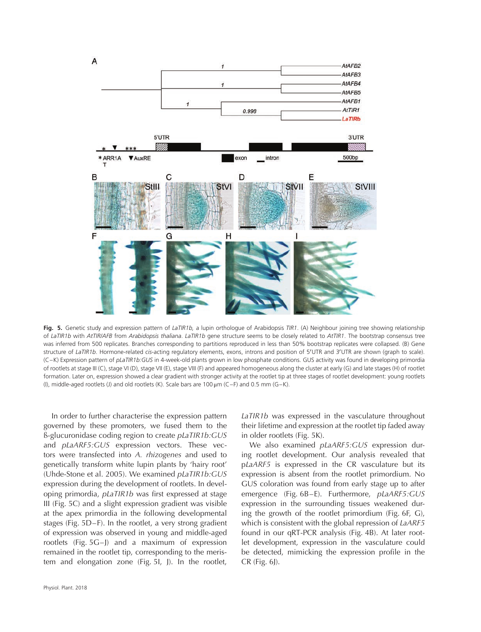

**Fig. 5.** Genetic study and expression pattern of *LaTIR1b,* a lupin orthologue of Arabidopsis *TIR1*. (A) Neighbour joining tree showing relationship of *LaTIR1b* with *AtTIR/AFB* from *Arabidopsis thaliana*. *LaTIR1b* gene structure seems to be closely related to *AtTIR1*. The bootstrap consensus tree was inferred from 500 replicates. Branches corresponding to partitions reproduced in less than 50% bootstrap replicates were collapsed. (B) Gene structure of *LaTIR1b*. Hormone-related *cis*-acting regulatory elements, exons, introns and position of 5′ UTR and 3′ UTR are shown (graph to scale). (C–K) Expression pattern of *pLaTIR1b:GUS* in 4-week-old plants grown in low phosphate conditions. GUS activity was found in developing primordia of rootlets at stage III (C), stage VI (D), stage VII (E), stage VIII (F) and appeared homogeneous along the cluster at early (G) and late stages (H) of rootlet formation. Later on, expression showed a clear gradient with stronger activity at the rootlet tip at three stages of rootlet development: young rootlets (I), middle-aged rootlets (J) and old rootlets (K). Scale bars are 100  $\mu$ m (C–F) and 0.5 mm (G–K).

In order to further characterise the expression pattern governed by these promoters, we fused them to the ß-glucuronidase coding region to create *pLaTIR1b:GUS* and *pLaARF5:GUS* expression vectors. These vectors were transfected into *A. rhizogenes* and used to genetically transform white lupin plants by 'hairy root' (Uhde-Stone et al. 2005). We examined *pLaTIR1b:GUS* expression during the development of rootlets. In developing primordia, *pLaTIR1b* was first expressed at stage III (Fig. 5C) and a slight expression gradient was visible at the apex primordia in the following developmental stages (Fig. 5D–F). In the rootlet, a very strong gradient of expression was observed in young and middle-aged rootlets (Fig. 5G–J) and a maximum of expression remained in the rootlet tip, corresponding to the meristem and elongation zone (Fig. 5I, J). In the rootlet,

*LaTIR1b* was expressed in the vasculature throughout their lifetime and expression at the rootlet tip faded away in older rootlets (Fig. 5K).

We also examined *pLaARF5:GUS* expression during rootlet development. Our analysis revealed that p*LaARF5* is expressed in the CR vasculature but its expression is absent from the rootlet primordium. No GUS coloration was found from early stage up to after emergence (Fig. 6B–E). Furthermore, *pLaARF5:GUS* expression in the surrounding tissues weakened during the growth of the rootlet primordium (Fig. 6F, G), which is consistent with the global repression of *LaARF5* found in our qRT-PCR analysis (Fig. 4B). At later rootlet development, expression in the vasculature could be detected, mimicking the expression profile in the CR (Fig. 6J).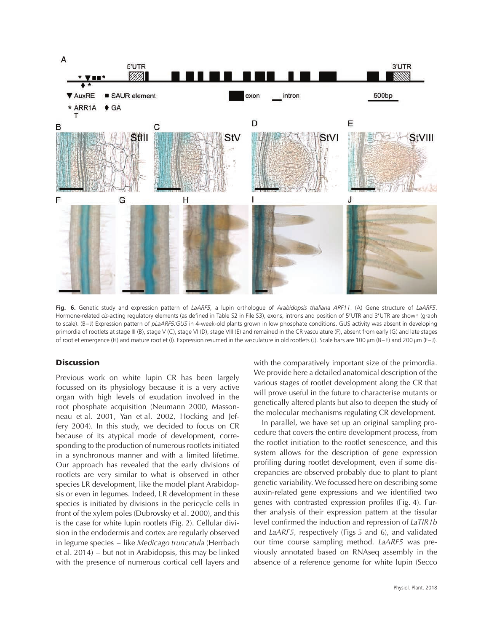

**Fig. 6.** Genetic study and expression pattern of *LaARF5,* a lupin orthologue of *Arabidopsis thaliana ARF11*. (A) Gene structure of *LaARF5*. Hormone-related *cis*-acting regulatory elements (as defined in Table S2 in File S3), exons, introns and position of 5′ UTR and 3′ UTR are shown (graph to scale). (B– J) Expression pattern of *pLaARF5:GUS* in 4-week-old plants grown in low phosphate conditions. GUS activity was absent in developing primordia of rootlets at stage III (B), stage V (C), stage VI (D), stage VIII (E) and remained in the CR vasculature (F), absent from early (G) and late stages of rootlet emergence (H) and mature rootlet (I). Expression resumed in the vasculature in old rootlets (J). Scale bars are 100 μm (B–E) and 200 μm (F– J).

## **Discussion**

Previous work on white lupin CR has been largely focussed on its physiology because it is a very active organ with high levels of exudation involved in the root phosphate acquisition (Neumann 2000, Massonneau et al. 2001, Yan et al. 2002, Hocking and Jeffery 2004). In this study, we decided to focus on CR because of its atypical mode of development, corresponding to the production of numerous rootlets initiated in a synchronous manner and with a limited lifetime. Our approach has revealed that the early divisions of rootlets are very similar to what is observed in other species LR development, like the model plant Arabidopsis or even in legumes. Indeed, LR development in these species is initiated by divisions in the pericycle cells in front of the xylem poles (Dubrovsky et al. 2000), and this is the case for white lupin rootlets (Fig. 2). Cellular division in the endodermis and cortex are regularly observed in legume species – like *Medicago truncatula* (Herrbach et al. 2014) – but not in Arabidopsis, this may be linked with the presence of numerous cortical cell layers and

with the comparatively important size of the primordia. We provide here a detailed anatomical description of the various stages of rootlet development along the CR that will prove useful in the future to characterise mutants or genetically altered plants but also to deepen the study of the molecular mechanisms regulating CR development.

In parallel, we have set up an original sampling procedure that covers the entire development process, from the rootlet initiation to the rootlet senescence, and this system allows for the description of gene expression profiling during rootlet development, even if some discrepancies are observed probably due to plant to plant genetic variability. We focussed here on describing some auxin-related gene expressions and we identified two genes with contrasted expression profiles (Fig. 4). Further analysis of their expression pattern at the tissular level confirmed the induction and repression of *LaTIR1b* and *LaARF5,* respectively (Figs 5 and 6), and validated our time course sampling method. *LaARF5* was previously annotated based on RNAseq assembly in the absence of a reference genome for white lupin (Secco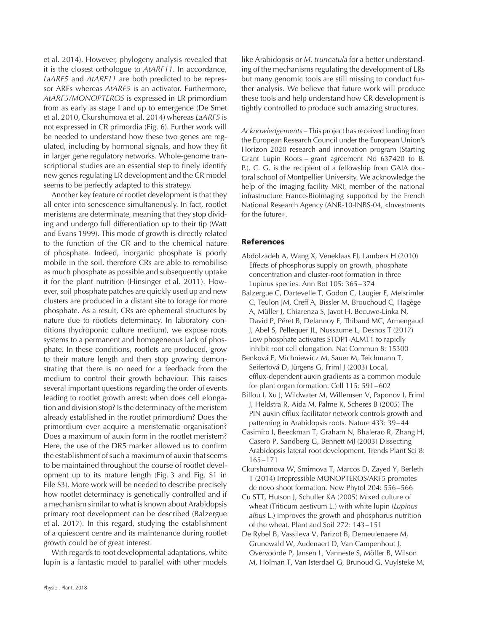et al. 2014). However, phylogeny analysis revealed that it is the closest orthologue to *AtARF11*. In accordance, *LaARF5* and *AtARF11* are both predicted to be repressor ARFs whereas *AtARF5* is an activator. Furthermore, *AtARF5/MONOPTEROS* is expressed in LR primordium from as early as stage I and up to emergence (De Smet et al. 2010, Ckurshumova et al. 2014) whereas *LaARF5* is not expressed in CR primordia (Fig. 6). Further work will be needed to understand how these two genes are regulated, including by hormonal signals, and how they fit in larger gene regulatory networks. Whole-genome transcriptional studies are an essential step to finely identify new genes regulating LR development and the CR model seems to be perfectly adapted to this strategy.

Another key feature of rootlet development is that they all enter into senescence simultaneously. In fact, rootlet meristems are determinate, meaning that they stop dividing and undergo full differentiation up to their tip (Watt and Evans 1999). This mode of growth is directly related to the function of the CR and to the chemical nature of phosphate. Indeed, inorganic phosphate is poorly mobile in the soil, therefore CRs are able to remobilise as much phosphate as possible and subsequently uptake it for the plant nutrition (Hinsinger et al. 2011). However, soil phosphate patches are quickly used up and new clusters are produced in a distant site to forage for more phosphate. As a result, CRs are ephemeral structures by nature due to rootlets determinacy. In laboratory conditions (hydroponic culture medium), we expose roots systems to a permanent and homogeneous lack of phosphate. In these conditions, rootlets are produced, grow to their mature length and then stop growing demonstrating that there is no need for a feedback from the medium to control their growth behaviour. This raises several important questions regarding the order of events leading to rootlet growth arrest: when does cell elongation and division stop? Is the determinacy of the meristem already established in the rootlet primordium? Does the primordium ever acquire a meristematic organisation? Does a maximum of auxin form in the rootlet meristem? Here, the use of the DR5 marker allowed us to confirm the establishment of such a maximum of auxin that seems to be maintained throughout the course of rootlet development up to its mature length (Fig. 3 and Fig. S1 in File S3). More work will be needed to describe precisely how rootlet determinacy is genetically controlled and if a mechanism similar to what is known about Arabidopsis primary root development can be described (Balzergue et al. 2017). In this regard, studying the establishment of a quiescent centre and its maintenance during rootlet growth could be of great interest.

With regards to root developmental adaptations, white lupin is a fantastic model to parallel with other models like Arabidopsis or *M. truncatula* for a better understanding of the mechanisms regulating the development of LRs but many genomic tools are still missing to conduct further analysis. We believe that future work will produce these tools and help understand how CR development is tightly controlled to produce such amazing structures.

*Acknowledgements –* This project has received funding from the European Research Council under the European Union's Horizon 2020 research and innovation program (Starting Grant Lupin Roots – grant agreement No 637420 to B. P.). C. G. is the recipient of a fellowship from GAIA doctoral school of Montpellier University. We acknowledge the help of the imaging facility MRI, member of the national infrastructure France-BioImaging supported by the French National Research Agency (ANR-10-INBS-04, «Investments for the future».

### **References**

- Abdolzadeh A, Wang X, Veneklaas EJ, Lambers H (2010) Effects of phosphorus supply on growth, phosphate concentration and cluster-root formation in three Lupinus species. Ann Bot 105: 365–374
- Balzergue C, Dartevelle T, Godon C, Laugier E, Meisrimler C, Teulon JM, Creff A, Bissler M, Brouchoud C, Hagège A, Müller J, Chiarenza S, Javot H, Becuwe-Linka N, David P, Péret B, Delannoy E, Thibaud MC, Armengaud J, Abel S, Pellequer JL, Nussaume L, Desnos T (2017) Low phosphate activates STOP1-ALMT1 to rapidly inhibit root cell elongation. Nat Commun 8: 15300
- Benková E, Michniewicz M, Sauer M, Teichmann T, Seifertová D, Jürgens G, Friml J (2003) Local, efflux-dependent auxin gradients as a common module for plant organ formation. Cell 115: 591–602
- Billou I, Xu J, Wildwater M, Willemsen V, Paponov I, Friml J, Heldstra R, Aida M, Palme K, Scheres B (2005) The PIN auxin efflux facilitator network controls growth and patterning in Arabidopsis roots. Nature 433: 39–44
- Casimiro I, Beeckman T, Graham N, Bhalerao R, Zhang H, Casero P, Sandberg G, Bennett MJ (2003) Dissecting Arabidopsis lateral root development. Trends Plant Sci 8: 165–171
- Ckurshumova W, Smirnova T, Marcos D, Zayed Y, Berleth T (2014) Irrepressible MONOPTEROS/ARF5 promotes de novo shoot formation. New Phytol 204: 556–566
- Cu STT, Hutson J, Schuller KA (2005) Mixed culture of wheat (Triticum aestivum L.) with white lupin (*Lupinus albus* L.) improves the growth and phosphorus nutrition of the wheat. Plant and Soil 272: 143–151
- De Rybel B, Vassileva V, Parizot B, Demeulenaere M, Grunewald W, Audenaert D, Van Campenhout J, Overvoorde P, Jansen L, Vanneste S, Möller B, Wilson M, Holman T, Van Isterdael G, Brunoud G, Vuylsteke M,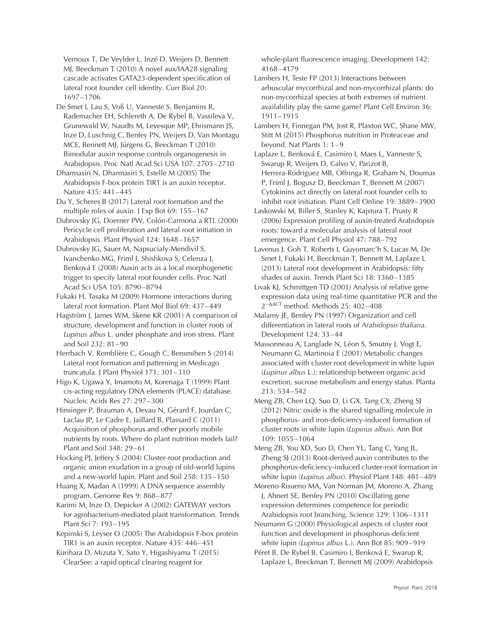Vernoux T, De Veylder L, Inzé D, Weijers D, Bennett MJ, Beeckman T (2010) A novel aux/IAA28 signaling cascade activates GATA23-dependent specification of lateral root founder cell identity. Curr Biol 20: 1697–1706

De Smet I, Lau S, Voß U, Vanneste S, Benjamins R, Rademacher EH, Schlereth A, De Rybel B, Vassileva V, Grunewald W, Naudts M, Levesque MP, Ehrismann JS, Inze D, Luschnig C, Benfey PN, Weijers D, Van Montagu MCE, Bennett MJ, Jürgens G, Beeckman T (2010) Bimodular auxin response controls organogenesis in Arabidopsis. Proc Natl Acad Sci USA 107: 2705–2710

Dharmasiri N, Dharmasiri S, Estelle M (2005) The Arabidopsis F-box protein TIR1 is an auxin receptor. Nature 435: 441–445

Du Y, Scheres B (2017) Lateral root formation and the multiple roles of auxin. J Exp Bot 69: 155–167

Dubrovsky JG, Doerner PW, Colón-Carmona a RTL (2000) Pericycle cell proliferation and lateral root initiation in Arabidopsis. Plant Physiol 124: 1648–1657

Dubrovsky JG, Sauer M, Napsucialy-Mendivil S, Ivanchenko MG, Friml J, Shishkova S, Celenza J, Benková E (2008) Auxin acts as a local morphogenetic trigger to specify lateral root founder cells. Proc Natl Acad Sci USA 105: 8790–8794

Fukaki H, Tasaka M (2009) Hormone interactions during lateral root formation. Plant Mol Biol 69: 437–449

Hagström J, James WM, Skene KR (2001) A comparison of structure, development and function in cluster roots of *Lupinus albus* L. under phosphate and iron stress. Plant and Soil 232: 81–90

Herrbach V, Remblière C, Gough C, Bensmihen S (2014) Lateral root formation and patterning in Medicago truncatula. J Plant Physiol 171: 301–310

Higo K, Ugawa Y, Imamoto M, Korenaga T (1999) Plant cis-acting regulatory DNA elements (PLACE) database. Nucleic Acids Res 27: 297–300

Hinsinger P, Brauman A, Devau N, Gérard F, Jourdan C, Laclau JP, Le Cadre E, Jaillard B, Plassard C (2011) Acquisition of phosphorus and other poorly mobile nutrients by roots. Where do plant nutrition models fail? Plant and Soil 348: 29–61

Hocking PJ, Jeffery S (2004) Cluster-root production and organic anion exudation in a group of old-world lupins and a new-world lupin. Plant and Soil 258: 135–150

Huang X, Madan A (1999) A DNA sequence assembly program. Genome Res 9: 868–877

Karimi M, Inze D, Depicker A (2002) GATEWAY vectors for agrobacterium-mediated plant transformation. Trends Plant Sci 7: 193–195

Kepinski S, Leyser O (2005) The Arabidopsis F-box protein TIR1 is an auxin receptor. Nature 435: 446–451

Kurihara D, Mizuta Y, Sato Y, Higashiyama T (2015) ClearSee: a rapid optical clearing reagent for

whole-plant fluorescence imaging. Development 142: 4168–4179

Lambers H, Teste FP (2013) Interactions between arbuscular mycorrhizal and non-mycorrhizal plants: do non-mycorrhizal species at both extremes of nutrient availability play the same game? Plant Cell Environ 36: 1911–1915

Lambers H, Finnegan PM, Jost R, Plaxton WC, Shane MW, Stitt M (2015) Phosphorus nutrition in Proteaceae and beyond. Nat Plants 1: 1–9

Laplaze L, Benková E, Casimiro I, Maes L, Vanneste S, Swarup R, Weijers D, Calvo V, Parizot B, Herrera-Rodriguez MB, Offringa R, Graham N, Doumas P, Friml J, Bogusz D, Beeckman T, Bennett M (2007) Cytokinins act directly on lateral root founder cells to inhibit root initiation. Plant Cell Online 19: 3889–3900

Laskowski M, Biller S, Stanley K, Kajstura T, Prusty R (2006) Expression profiling of auxin-treated Arabidopsis roots: toward a molecular analysis of lateral root emergence. Plant Cell Physiol 47: 788–792

Lavenus J, Goh T, Roberts I, Guyomarc'h S, Lucas M, De Smet I, Fukaki H, Beeckman T, Bennett M, Laplaze L (2013) Lateral root development in Arabidopsis: fifty shades of auxin. Trends Plant Sci 18: 1360–1385

Livak KJ, Schmittgen TD (2001) Analysis of relative gene expression data using real-time quantitative PCR and the 2<sup>-∆∆CT</sup> method. Methods 25: 402-408

Malamy JE, Benfey PN (1997) Organization and cell differentiation in lateral roots of *Arabidopsis thaliana*. Development 124: 33–44

Massonneau A, Langlade N, Léon S, Smutny J, Vogt E, Neumann G, Martinoia E (2001) Metabolic changes associated with cluster root development in white lupin (*Lupinus albus* L.): relationship between organic acid excretion, sucrose metabolism and energy status. Planta 213: 534–542

Meng ZB, Chen LQ, Suo D, Li GX, Tang CX, Zheng SJ (2012) Nitric oxide is the shared signalling molecule in phosphorus- and iron-deficiency-induced formation of cluster roots in white lupin (*Lupinus albus*). Ann Bot 109: 1055–1064

Meng ZB, You XD, Suo D, Chen YL, Tang C, Yang JL, Zheng SJ (2013) Root-derived auxin contributes to the phosphorus-deficiency-induced cluster-root formation in white lupin (*Lupinus albus*). Physiol Plant 148: 481–489

Moreno-Risueno MA, Van Norman JM, Moreno A, Zhang J, Ahnert SE, Benfey PN (2010) Oscillating gene expression determines competence for periodic Arabidopsis root branching. Science 329: 1306–1311

Neumann G (2000) Physiological aspects of cluster root function and development in phosphorus-deficient white lupin (*Lupinus albus* L.). Ann Bot 85: 909–919

Péret B, De Rybel B, Casimiro I, Benková E, Swarup R, Laplaze L, Beeckman T, Bennett MJ (2009) Arabidopsis